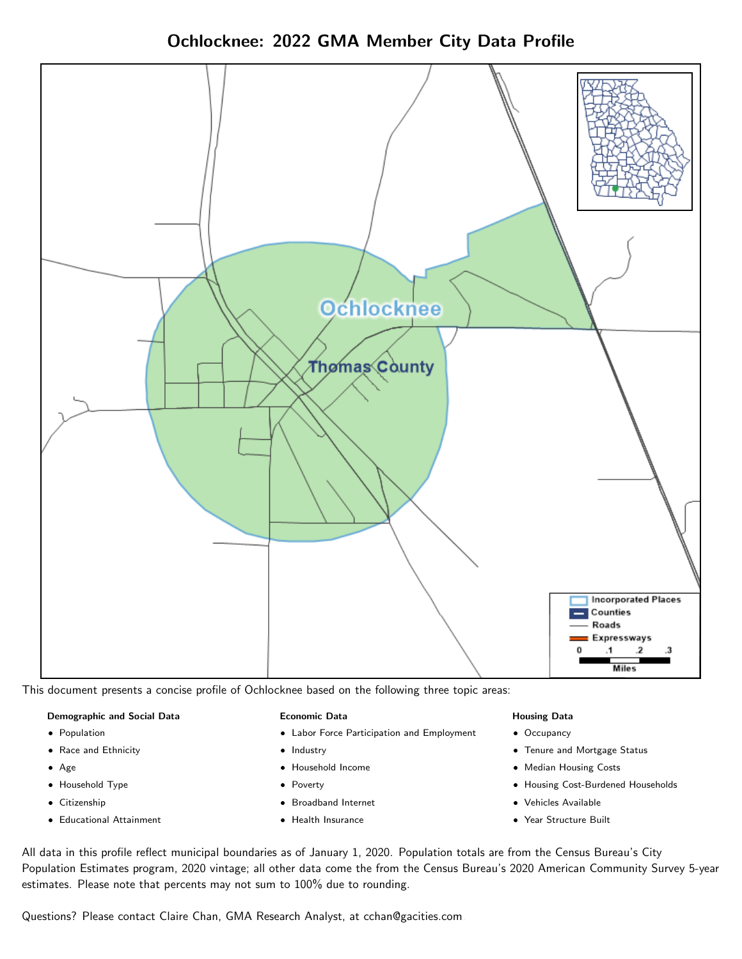Ochlocknee: 2022 GMA Member City Data Profile



This document presents a concise profile of Ochlocknee based on the following three topic areas:

#### Demographic and Social Data

- **•** Population
- Race and Ethnicity
- Age
- Household Type
- **Citizenship**
- Educational Attainment

#### Economic Data

- Labor Force Participation and Employment
- Industry
- Household Income
- Poverty
- Broadband Internet
- Health Insurance

#### Housing Data

- Occupancy
- Tenure and Mortgage Status
- Median Housing Costs
- Housing Cost-Burdened Households
- Vehicles Available
- Year Structure Built

All data in this profile reflect municipal boundaries as of January 1, 2020. Population totals are from the Census Bureau's City Population Estimates program, 2020 vintage; all other data come the from the Census Bureau's 2020 American Community Survey 5-year estimates. Please note that percents may not sum to 100% due to rounding.

Questions? Please contact Claire Chan, GMA Research Analyst, at [cchan@gacities.com.](mailto:cchan@gacities.com)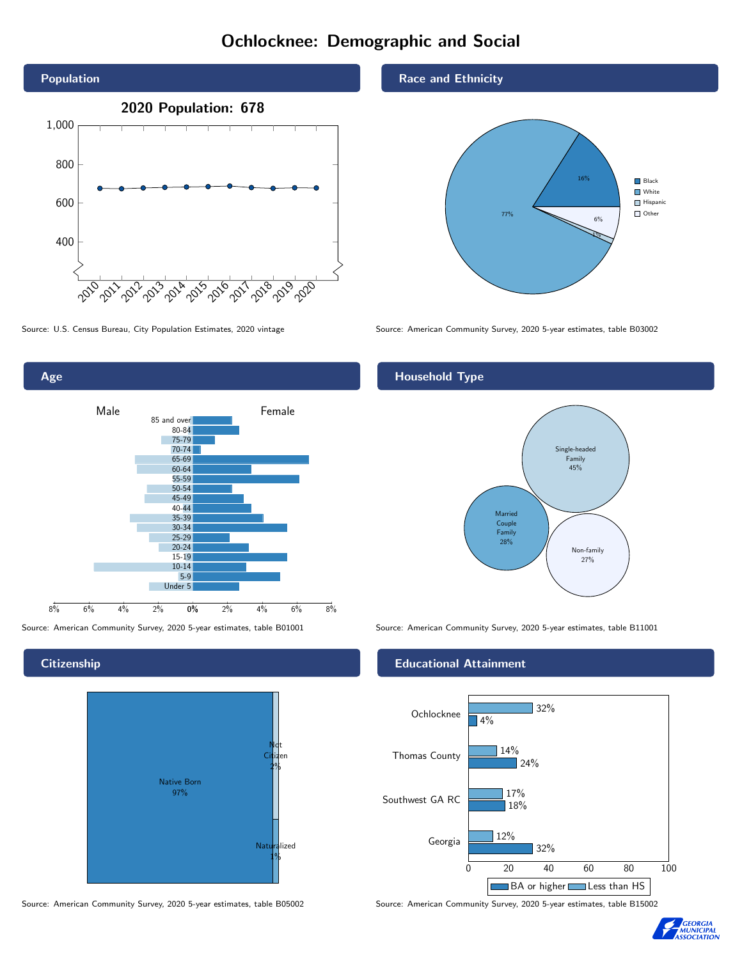## Ochlocknee: Demographic and Social



Age 0% 2% 4% 6% 8% Male **Female** Female 8% 6% 4% 2% 85 and over 80-84 75-79 70-74 65-69 60-64 55-59 50-54 45-49 40-44 35-39 30-34 25-29 20-24 15-19  $10-14$ 5-9 Under 5

**Citizenship** 



Source: American Community Survey, 2020 5-year estimates, table B05002 Source: American Community Survey, 2020 5-year estimates, table B15002

Race and Ethnicity



Source: U.S. Census Bureau, City Population Estimates, 2020 vintage Source: American Community Survey, 2020 5-year estimates, table B03002

#### Household Type



Source: American Community Survey, 2020 5-year estimates, table B01001 Source: American Community Survey, 2020 5-year estimates, table B11001

#### Educational Attainment



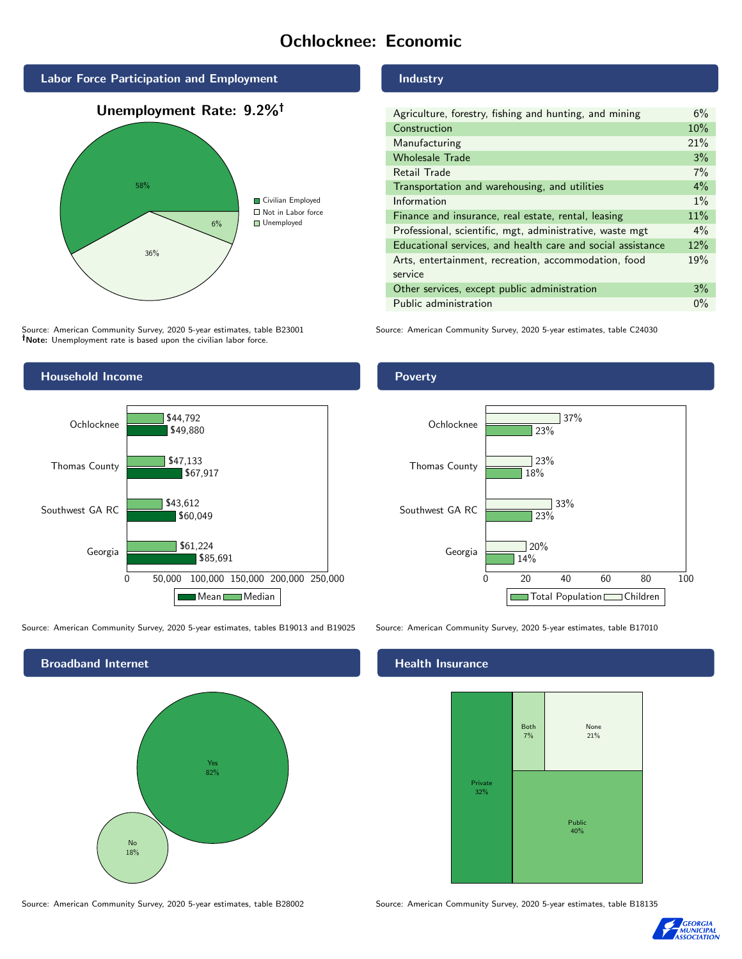## Ochlocknee: Economic



Source: American Community Survey, 2020 5-year estimates, table B23001 Note: Unemployment rate is based upon the civilian labor force.

#### Industry

| Agriculture, forestry, fishing and hunting, and mining      | 6%    |
|-------------------------------------------------------------|-------|
| Construction                                                | 10%   |
| Manufacturing                                               | 21%   |
| <b>Wholesale Trade</b>                                      | 3%    |
| Retail Trade                                                | 7%    |
| Transportation and warehousing, and utilities               | $4\%$ |
| Information                                                 | $1\%$ |
| Finance and insurance, real estate, rental, leasing         | 11%   |
| Professional, scientific, mgt, administrative, waste mgt    | $4\%$ |
| Educational services, and health care and social assistance | 12%   |
| Arts, entertainment, recreation, accommodation, food        | 19%   |
| service                                                     |       |
| Other services, except public administration                | 3%    |
| Public administration                                       | $0\%$ |

Source: American Community Survey, 2020 5-year estimates, table C24030



Source: American Community Survey, 2020 5-year estimates, tables B19013 and B19025 Source: American Community Survey, 2020 5-year estimates, table B17010



#### Health Insurance



Source: American Community Survey, 2020 5-year estimates, table B28002 Source: American Community Survey, 2020 5-year estimates, table B18135



#### Poverty